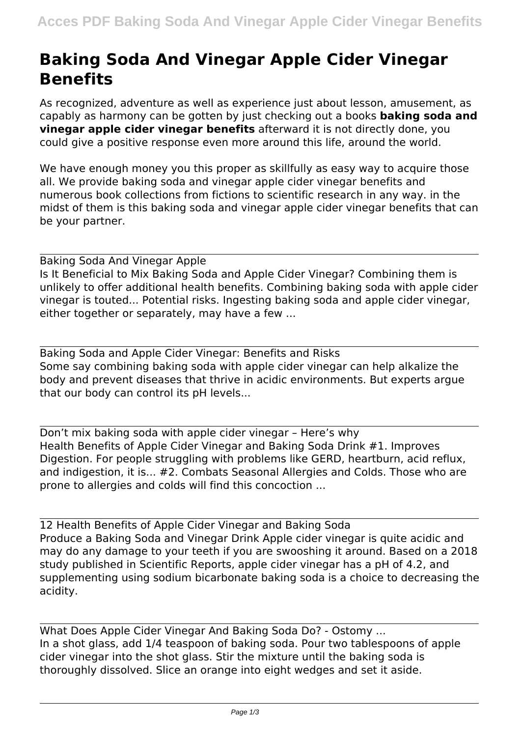## **Baking Soda And Vinegar Apple Cider Vinegar Benefits**

As recognized, adventure as well as experience just about lesson, amusement, as capably as harmony can be gotten by just checking out a books **baking soda and vinegar apple cider vinegar benefits** afterward it is not directly done, you could give a positive response even more around this life, around the world.

We have enough money you this proper as skillfully as easy way to acquire those all. We provide baking soda and vinegar apple cider vinegar benefits and numerous book collections from fictions to scientific research in any way. in the midst of them is this baking soda and vinegar apple cider vinegar benefits that can be your partner.

Baking Soda And Vinegar Apple Is It Beneficial to Mix Baking Soda and Apple Cider Vinegar? Combining them is unlikely to offer additional health benefits. Combining baking soda with apple cider vinegar is touted... Potential risks. Ingesting baking soda and apple cider vinegar, either together or separately, may have a few ...

Baking Soda and Apple Cider Vinegar: Benefits and Risks Some say combining baking soda with apple cider vinegar can help alkalize the body and prevent diseases that thrive in acidic environments. But experts argue that our body can control its pH levels...

Don't mix baking soda with apple cider vinegar – Here's why Health Benefits of Apple Cider Vinegar and Baking Soda Drink #1. Improves Digestion. For people struggling with problems like GERD, heartburn, acid reflux, and indigestion, it is... #2. Combats Seasonal Allergies and Colds. Those who are prone to allergies and colds will find this concoction ...

12 Health Benefits of Apple Cider Vinegar and Baking Soda Produce a Baking Soda and Vinegar Drink Apple cider vinegar is quite acidic and may do any damage to your teeth if you are swooshing it around. Based on a 2018 study published in Scientific Reports, apple cider vinegar has a pH of 4.2, and supplementing using sodium bicarbonate baking soda is a choice to decreasing the acidity.

What Does Apple Cider Vinegar And Baking Soda Do? - Ostomy ... In a shot glass, add 1/4 teaspoon of baking soda. Pour two tablespoons of apple cider vinegar into the shot glass. Stir the mixture until the baking soda is thoroughly dissolved. Slice an orange into eight wedges and set it aside.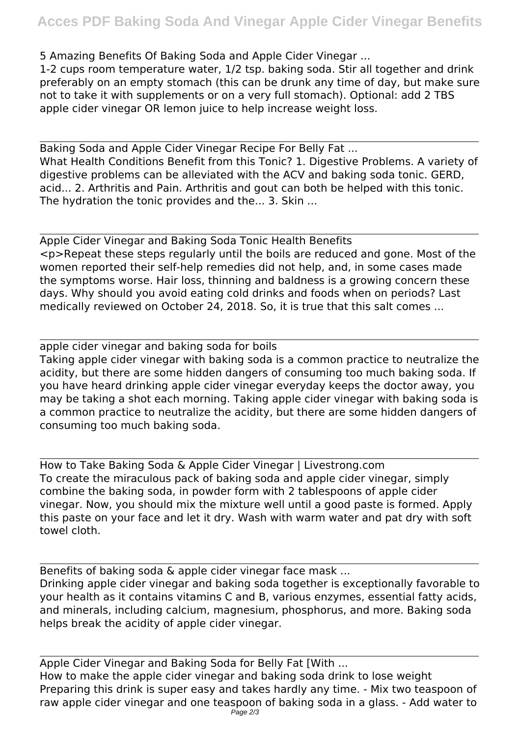5 Amazing Benefits Of Baking Soda and Apple Cider Vinegar ...

1-2 cups room temperature water, 1/2 tsp. baking soda. Stir all together and drink preferably on an empty stomach (this can be drunk any time of day, but make sure not to take it with supplements or on a very full stomach). Optional: add 2 TBS apple cider vinegar OR lemon juice to help increase weight loss.

Baking Soda and Apple Cider Vinegar Recipe For Belly Fat ... What Health Conditions Benefit from this Tonic? 1. Digestive Problems. A variety of digestive problems can be alleviated with the ACV and baking soda tonic. GERD, acid... 2. Arthritis and Pain. Arthritis and gout can both be helped with this tonic. The hydration the tonic provides and the... 3. Skin ...

Apple Cider Vinegar and Baking Soda Tonic Health Benefits <p>Repeat these steps regularly until the boils are reduced and gone. Most of the women reported their self-help remedies did not help, and, in some cases made the symptoms worse. Hair loss, thinning and baldness is a growing concern these days. Why should you avoid eating cold drinks and foods when on periods? Last medically reviewed on October 24, 2018. So, it is true that this salt comes ...

apple cider vinegar and baking soda for boils Taking apple cider vinegar with baking soda is a common practice to neutralize the acidity, but there are some hidden dangers of consuming too much baking soda. If you have heard drinking apple cider vinegar everyday keeps the doctor away, you may be taking a shot each morning. Taking apple cider vinegar with baking soda is a common practice to neutralize the acidity, but there are some hidden dangers of consuming too much baking soda.

How to Take Baking Soda & Apple Cider Vinegar | Livestrong.com To create the miraculous pack of baking soda and apple cider vinegar, simply combine the baking soda, in powder form with 2 tablespoons of apple cider vinegar. Now, you should mix the mixture well until a good paste is formed. Apply this paste on your face and let it dry. Wash with warm water and pat dry with soft towel cloth.

Benefits of baking soda & apple cider vinegar face mask ... Drinking apple cider vinegar and baking soda together is exceptionally favorable to your health as it contains vitamins C and B, various enzymes, essential fatty acids, and minerals, including calcium, magnesium, phosphorus, and more. Baking soda helps break the acidity of apple cider vinegar.

Apple Cider Vinegar and Baking Soda for Belly Fat [With ... How to make the apple cider vinegar and baking soda drink to lose weight Preparing this drink is super easy and takes hardly any time. - Mix two teaspoon of raw apple cider vinegar and one teaspoon of baking soda in a glass. - Add water to  $P$ age  $2/3$